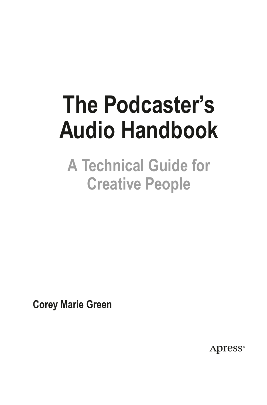# **The Podcaster's Audio Handbook**

**A Technical Guide for Creative People**

**Corey Marie Green**

Apress<sup>®</sup>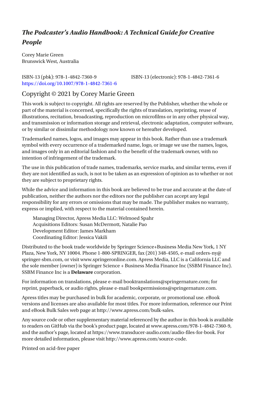### *The Podcaster's Audio Handbook: A Technical Guide for Creative People*

Corey Marie Green Brunswick West, Australia

#### ISBN-13 (pbk): 978-1-4842-7360-9 ISBN-13 (electronic): 978-1-4842-7361-6 <https://doi.org/10.1007/978-1-4842-7361-6>

#### Copyright © 2021 by Corey Marie Green

This work is subject to copyright. All rights are reserved by the Publisher, whether the whole or part of the material is concerned, specifically the rights of translation, reprinting, reuse of illustrations, recitation, broadcasting, reproduction on microfilms or in any other physical way, and transmission or information storage and retrieval, electronic adaptation, computer software, or by similar or dissimilar methodology now known or hereafter developed.

Trademarked names, logos, and images may appear in this book. Rather than use a trademark symbol with every occurrence of a trademarked name, logo, or image we use the names, logos, and images only in an editorial fashion and to the benefit of the trademark owner, with no intention of infringement of the trademark.

The use in this publication of trade names, trademarks, service marks, and similar terms, even if they are not identified as such, is not to be taken as an expression of opinion as to whether or not they are subject to proprietary rights.

While the advice and information in this book are believed to be true and accurate at the date of publication, neither the authors nor the editors nor the publisher can accept any legal responsibility for any errors or omissions that may be made. The publisher makes no warranty, express or implied, with respect to the material contained herein.

Managing Director, Apress Media LLC: Welmoed Spahr Acquisitions Editors: Susan McDermott, Natalie Pao Development Editor: James Markham Coordinating Editor: Jessica Vakili

Distributed to the book trade worldwide by Springer Science+Business Media New York, 1 NY Plaza, New York, NY 10004. Phone 1-800-SPRINGER, fax (201) 348-4505, e-mail orders-ny@ springer-sbm.com, or visit www.springeronline.com. Apress Media, LLC is a California LLC and the sole member (owner) is Springer Science + Business Media Finance Inc (SSBM Finance Inc). SSBM Finance Inc is a **Delaware** corporation.

For information on translations, please e-mail booktranslations@springernature.com; for reprint, paperback, or audio rights, please e-mail bookpermissions@springernature.com.

Apress titles may be purchased in bulk for academic, corporate, or promotional use. eBook versions and licenses are also available for most titles. For more information, reference our Print and eBook Bulk Sales web page at http://www.apress.com/bulk-sales.

Any source code or other supplementary material referenced by the author in this book is available to readers on GitHub via the book's product page, located at www.apress.com/978-1-4842-7360-9, and the author's page, located at https://www.transducer-audio.com/audio-files-for-book. For more detailed information, please visit http://www.apress.com/source-code.

Printed on acid-free paper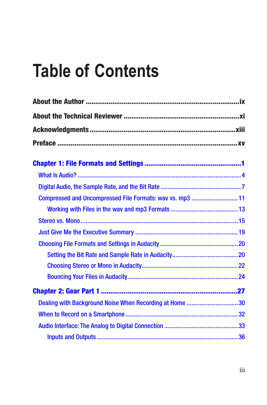## **Table of Contents**

| Compressed and Uncompressed File Formats: wav vs. mp3  11 |  |
|-----------------------------------------------------------|--|
|                                                           |  |
|                                                           |  |
|                                                           |  |
|                                                           |  |
|                                                           |  |
|                                                           |  |
|                                                           |  |
|                                                           |  |
| Dealing with Background Noise When Recording at Home 30   |  |
|                                                           |  |
|                                                           |  |
|                                                           |  |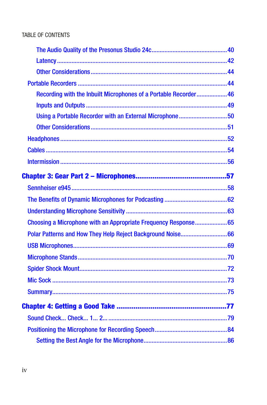| Recording with the Inbuilt Microphones of a Portable Recorder46 |  |
|-----------------------------------------------------------------|--|
|                                                                 |  |
| Using a Portable Recorder with an External Microphone50         |  |
|                                                                 |  |
|                                                                 |  |
|                                                                 |  |
|                                                                 |  |
|                                                                 |  |
|                                                                 |  |
|                                                                 |  |
|                                                                 |  |
| Choosing a Microphone with an Appropriate Frequency Response65  |  |
| Polar Patterns and How They Help Reject Background Noise66      |  |
|                                                                 |  |
|                                                                 |  |
|                                                                 |  |
|                                                                 |  |
|                                                                 |  |
|                                                                 |  |
|                                                                 |  |
|                                                                 |  |
|                                                                 |  |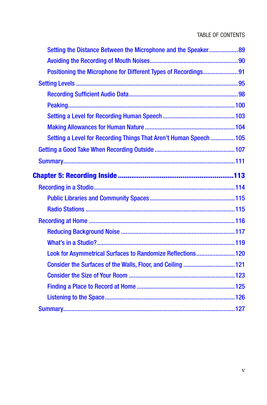| Setting the Distance Between the Microphone and the Speaker 89     |  |
|--------------------------------------------------------------------|--|
|                                                                    |  |
|                                                                    |  |
|                                                                    |  |
|                                                                    |  |
|                                                                    |  |
|                                                                    |  |
|                                                                    |  |
| Setting a Level for Recording Things That Aren't Human Speech  105 |  |
|                                                                    |  |
|                                                                    |  |
|                                                                    |  |
|                                                                    |  |
|                                                                    |  |
|                                                                    |  |
|                                                                    |  |
|                                                                    |  |
|                                                                    |  |
|                                                                    |  |
| Look for Asymmetrical Surfaces to Randomize Reflections120         |  |
|                                                                    |  |
|                                                                    |  |
|                                                                    |  |
|                                                                    |  |
|                                                                    |  |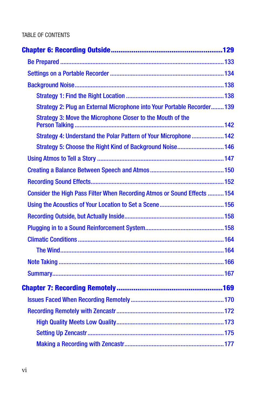| Strategy 2: Plug an External Microphone into Your Portable Recorder 139         |  |
|---------------------------------------------------------------------------------|--|
| Strategy 3: Move the Microphone Closer to the Mouth of the                      |  |
| Strategy 4: Understand the Polar Pattern of Your Microphone  142                |  |
| Strategy 5: Choose the Right Kind of Background Noise 146                       |  |
|                                                                                 |  |
|                                                                                 |  |
|                                                                                 |  |
| <b>Consider the High Pass Filter When Recording Atmos or Sound Effects  154</b> |  |
|                                                                                 |  |
|                                                                                 |  |
|                                                                                 |  |
|                                                                                 |  |
|                                                                                 |  |
|                                                                                 |  |
|                                                                                 |  |
|                                                                                 |  |
|                                                                                 |  |
|                                                                                 |  |
|                                                                                 |  |
|                                                                                 |  |
|                                                                                 |  |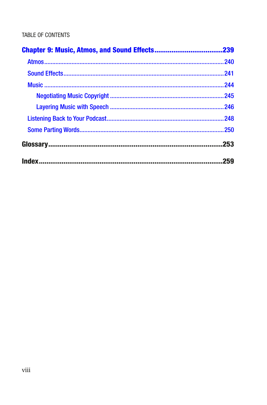|      | .241 |  |
|------|------|--|
|      |      |  |
|      |      |  |
|      |      |  |
|      |      |  |
|      |      |  |
| .253 |      |  |
|      | .259 |  |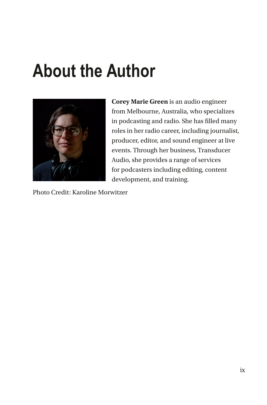## **About the Author**



**Corey Marie Green** is an audio engineer from Melbourne, Australia, who specializes in podcasting and radio. She has filled many roles in her radio career, including journalist, producer, editor, and sound engineer at live events. Through her business, Transducer Audio, she provides a range of services for podcasters including editing, content development, and training.

Photo Credit: Karoline Morwitzer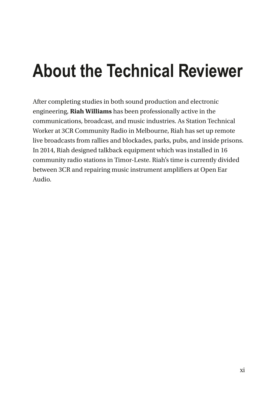## **About the Technical Reviewer**

After completing studies in both sound production and electronic engineering, **Riah Williams** has been professionally active in the communications, broadcast, and music industries. As Station Technical Worker at 3CR Community Radio in Melbourne, Riah has set up remote live broadcasts from rallies and blockades, parks, pubs, and inside prisons. In 2014, Riah designed talkback equipment which was installed in 16 community radio stations in Timor-Leste. Riah's time is currently divided between 3CR and repairing music instrument amplifiers at Open Ear Audio.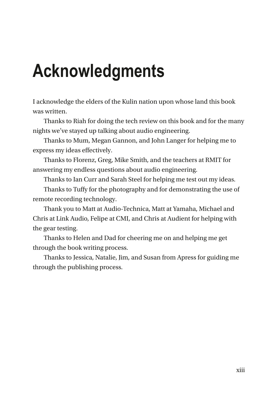## **Acknowledgments**

I acknowledge the elders of the Kulin nation upon whose land this book was written.

Thanks to Riah for doing the tech review on this book and for the many nights we've stayed up talking about audio engineering.

Thanks to Mum, Megan Gannon, and John Langer for helping me to express my ideas effectively.

Thanks to Florenz, Greg, Mike Smith, and the teachers at RMIT for answering my endless questions about audio engineering.

Thanks to Ian Curr and Sarah Steel for helping me test out my ideas.

Thanks to Tuffy for the photography and for demonstrating the use of remote recording technology.

Thank you to Matt at Audio-Technica, Matt at Yamaha, Michael and Chris at Link Audio, Felipe at CMI, and Chris at Audient for helping with the gear testing.

Thanks to Helen and Dad for cheering me on and helping me get through the book writing process.

Thanks to Jessica, Natalie, Jim, and Susan from Apress for guiding me through the publishing process.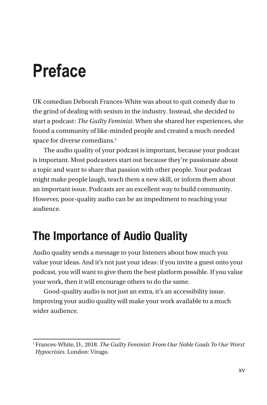### **Preface**

UK comedian Deborah Frances-White was about to quit comedy due to the grind of dealing with sexism in the industry. Instead, she decided to start a podcast: *The Guilty Feminist*. When she shared her experiences, she found a community of like-minded people and created a much-needed space for diverse comedians.<sup>[1](#page-11-0)</sup>

The audio quality of your podcast is important, because your podcast is important. Most podcasters start out because they're passionate about a topic and want to share that passion with other people. Your podcast might make people laugh, teach them a new skill, or inform them about an important issue. Podcasts are an excellent way to build community. However, poor-quality audio can be an impediment to reaching your audience.

### The Importance of Audio Quality

Audio quality sends a message to your listeners about how much you value your ideas. And it's not just your ideas: if you invite a guest onto your podcast, you will want to give them the best platform possible. If you value your work, then it will encourage others to do the same.

Good-quality audio is not just an extra, it's an accessibility issue. Improving your audio quality will make your work available to a much wider audience.

<span id="page-11-0"></span><sup>1</sup> Frances-White, D., 2018. *The Guilty Feminist*: *From Our Noble Goals To Our Worst Hypocrisies*. London: Virago.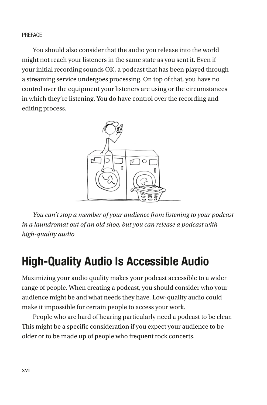You should also consider that the audio you release into the world might not reach your listeners in the same state as you sent it. Even if your initial recording sounds OK, a podcast that has been played through a streaming service undergoes processing. On top of that, you have no control over the equipment your listeners are using or the circumstances in which they're listening. You do have control over the recording and editing process.



*You can't stop a member of your audience from listening to your podcast in a laundromat out of an old shoe, but you can release a podcast with high-quality audio*

### High-Quality Audio Is Accessible Audio

Maximizing your audio quality makes your podcast accessible to a wider range of people. When creating a podcast, you should consider who your audience might be and what needs they have. Low-quality audio could make it impossible for certain people to access your work.

People who are hard of hearing particularly need a podcast to be clear. This might be a specific consideration if you expect your audience to be older or to be made up of people who frequent rock concerts.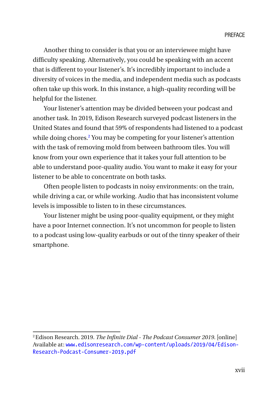Another thing to consider is that you or an interviewee might have difficulty speaking. Alternatively, you could be speaking with an accent that is different to your listener's. It's incredibly important to include a diversity of voices in the media, and independent media such as podcasts often take up this work. In this instance, a high-quality recording will be helpful for the listener.

Your listener's attention may be divided between your podcast and another task. In 2019, Edison Research surveyed podcast listeners in the United States and found that 59% of respondents had listened to a podcast while doing chores.<sup>2</sup> You may be competing for your listener's attention with the task of removing mold from between bathroom tiles. You will know from your own experience that it takes your full attention to be able to understand poor-quality audio. You want to make it easy for your listener to be able to concentrate on both tasks.

Often people listen to podcasts in noisy environments: on the train, while driving a car, or while working. Audio that has inconsistent volume levels is impossible to listen to in these circumstances.

Your listener might be using poor-quality equipment, or they might have a poor Internet connection. It's not uncommon for people to listen to a podcast using low-quality earbuds or out of the tinny speaker of their smartphone.

<span id="page-13-0"></span><sup>2</sup>Edison Research. 2019. *The Infinite Dial - The Podcast Consumer 2019*. [online] Available at: [www.edisonresearch.com/wp-content/uploads/2019/04/Edison-](http://www.edisonresearch.com/wp-content/uploads/2019/04/Edison-Research-Podcast-Consumer-2019.pdf)[Research-Podcast-Consumer-2019.pdf](http://www.edisonresearch.com/wp-content/uploads/2019/04/Edison-Research-Podcast-Consumer-2019.pdf)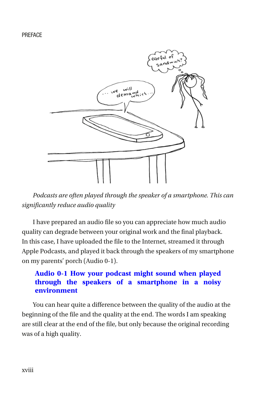

*Podcasts are often played through the speaker of a smartphone. This can significantly reduce audio quality*

I have prepared an audio file so you can appreciate how much audio quality can degrade between your original work and the final playback. In this case, I have uploaded the file to the Internet, streamed it through Apple Podcasts, and played it back through the speakers of my smartphone on my parents' porch (Audio 0-1).

### **Audio 0-1 [How your podcast might sound when played](https://static.wixstatic.com/mp3/1ad394_fa89cf12a08141d1a30177e7cc5899cf.mp3)  [through the speakers of a smartphone in a noisy](https://static.wixstatic.com/mp3/1ad394_fa89cf12a08141d1a30177e7cc5899cf.mp3)  [environment](https://static.wixstatic.com/mp3/1ad394_fa89cf12a08141d1a30177e7cc5899cf.mp3)**

You can hear quite a difference between the quality of the audio at the beginning of the file and the quality at the end. The words I am speaking are still clear at the end of the file, but only because the original recording was of a high quality.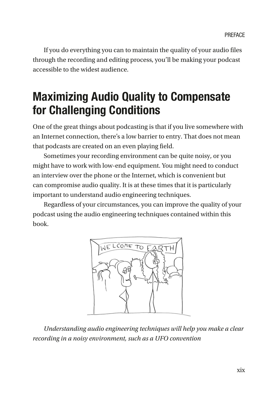If you do everything you can to maintain the quality of your audio files through the recording and editing process, you'll be making your podcast accessible to the widest audience.

### Maximizing Audio Quality to Compensate for Challenging Conditions

One of the great things about podcasting is that if you live somewhere with an Internet connection, there's a low barrier to entry. That does not mean that podcasts are created on an even playing field.

Sometimes your recording environment can be quite noisy, or you might have to work with low-end equipment. You might need to conduct an interview over the phone or the Internet, which is convenient but can compromise audio quality. It is at these times that it is particularly important to understand audio engineering techniques.

Regardless of your circumstances, you can improve the quality of your podcast using the audio engineering techniques contained within this book.



*Understanding audio engineering techniques will help you make a clear recording in a noisy environment, such as a UFO convention*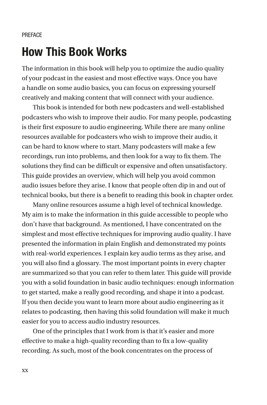### How This Book Works

The information in this book will help you to optimize the audio quality of your podcast in the easiest and most effective ways. Once you have a handle on some audio basics, you can focus on expressing yourself creatively and making content that will connect with your audience.

This book is intended for both new podcasters and well-established podcasters who wish to improve their audio. For many people, podcasting is their first exposure to audio engineering. While there are many online resources available for podcasters who wish to improve their audio, it can be hard to know where to start. Many podcasters will make a few recordings, run into problems, and then look for a way to fix them. The solutions they find can be difficult or expensive and often unsatisfactory. This guide provides an overview, which will help you avoid common audio issues before they arise. I know that people often dip in and out of technical books, but there is a benefit to reading this book in chapter order.

Many online resources assume a high level of technical knowledge. My aim is to make the information in this guide accessible to people who don't have that background. As mentioned, I have concentrated on the simplest and most effective techniques for improving audio quality. I have presented the information in plain English and demonstrated my points with real-world experiences. I explain key audio terms as they arise, and you will also find a glossary. The most important points in every chapter are summarized so that you can refer to them later. This guide will provide you with a solid foundation in basic audio techniques: enough information to get started, make a really good recording, and shape it into a podcast. If you then decide you want to learn more about audio engineering as it relates to podcasting, then having this solid foundation will make it much easier for you to access audio industry resources.

One of the principles that I work from is that it's easier and more effective to make a high-quality recording than to fix a low-quality recording. As such, most of the book concentrates on the process of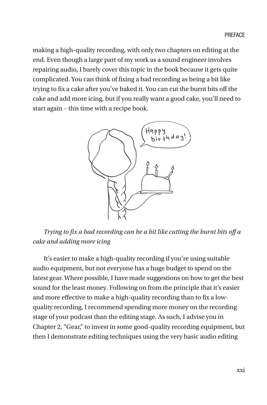making a high-quality recording, with only two chapters on editing at the end. Even though a large part of my work as a sound engineer involves repairing audio, I barely cover this topic in the book because it gets quite complicated. You can think of fixing a bad recording as being a bit like trying to fix a cake after you've baked it. You can cut the burnt bits off the cake and add more icing, but if you really want a good cake, you'll need to start again – this time with a recipe book.



*Trying to fix a bad recording can be a bit like cutting the burnt bits off a cake and adding more icing*

It's easier to make a high-quality recording if you're using suitable audio equipment, but not everyone has a huge budget to spend on the latest gear. Where possible, I have made suggestions on how to get the best sound for the least money. Following on from the principle that it's easier and more effective to make a high-quality recording than to fix a lowquality recording, I recommend spending more money on the recording stage of your podcast than the editing stage. As such, I advise you in Chapter [2,](https://doi.org/10.1007/978-1-4842-7361-6_2) "Gear," to invest in some good-quality recording equipment, but then I demonstrate editing techniques using the very basic audio editing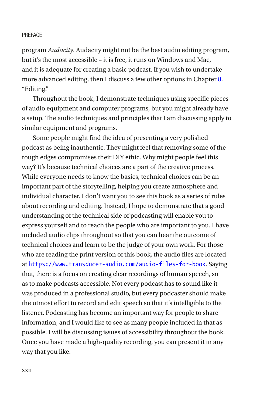program *Audacity*. Audacity might not be the best audio editing program, but it's the most accessible – it is free, it runs on Windows and Mac, and it is adequate for creating a basic podcast. If you wish to undertake more advanced editing, then I discuss a few other options in Chapter [8](https://doi.org/10.1007/978-1-4842-7361-6_8), "Editing."

Throughout the book, I demonstrate techniques using specific pieces of audio equipment and computer programs, but you might already have a setup. The audio techniques and principles that I am discussing apply to similar equipment and programs.

Some people might find the idea of presenting a very polished podcast as being inauthentic. They might feel that removing some of the rough edges compromises their DIY ethic. Why might people feel this way? It's because technical choices are a part of the creative process. While everyone needs to know the basics, technical choices can be an important part of the storytelling, helping you create atmosphere and individual character. I don't want you to see this book as a series of rules about recording and editing. Instead, I hope to demonstrate that a good understanding of the technical side of podcasting will enable you to express yourself and to reach the people who are important to you. I have included audio clips throughout so that you can hear the outcome of technical choices and learn to be the judge of your own work. For those who are reading the print version of this book, the audio files are located at <https://www.transducer-audio.com/audio-files-for-book>. Saying that, there is a focus on creating clear recordings of human speech, so as to make podcasts accessible. Not every podcast has to sound like it was produced in a professional studio, but every podcaster should make the utmost effort to record and edit speech so that it's intelligible to the listener. Podcasting has become an important way for people to share information, and I would like to see as many people included in that as possible. I will be discussing issues of accessibility throughout the book. Once you have made a high-quality recording, you can present it in any way that you like.